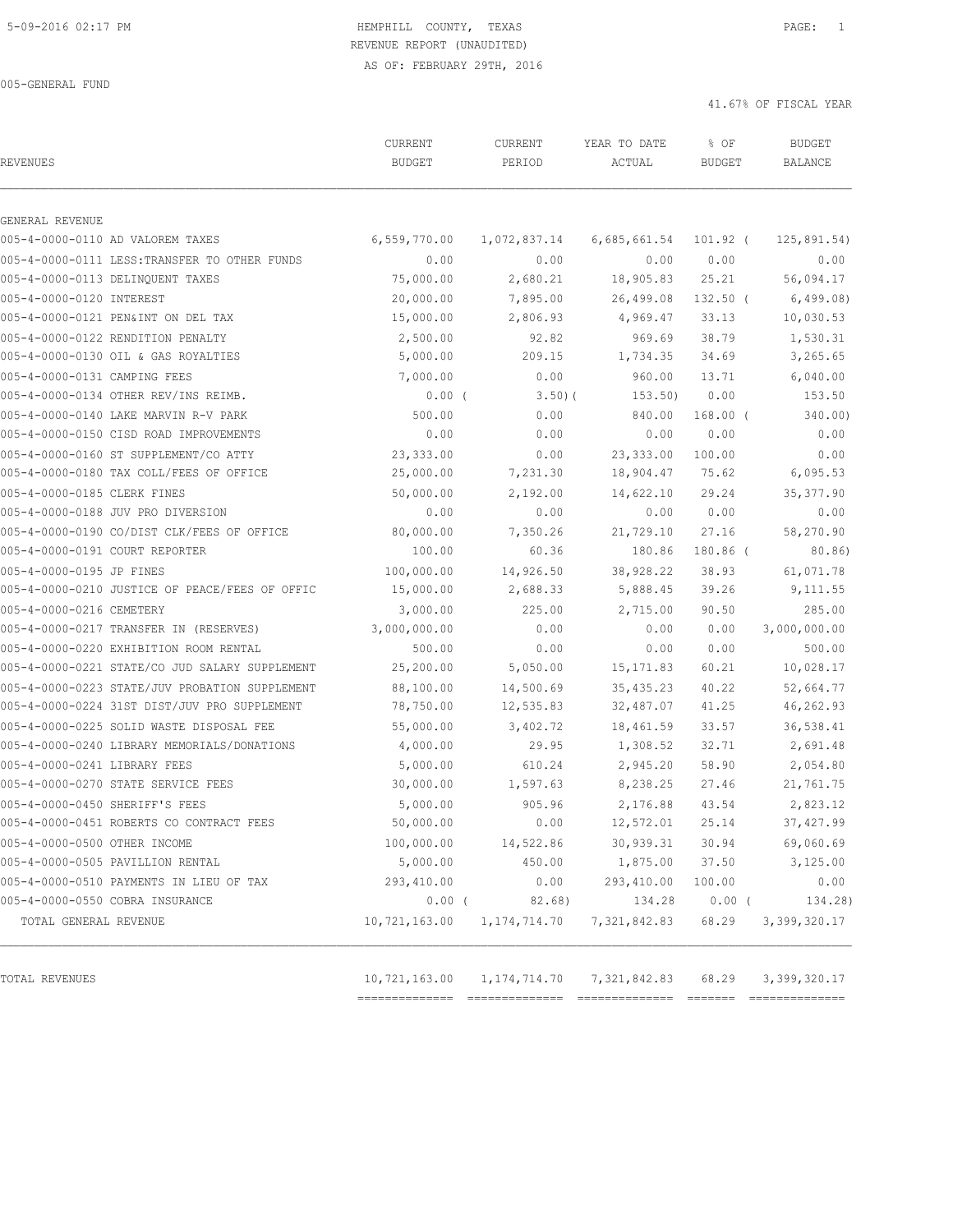# 5-09-2016 02:17 PM HEMPHILL COUNTY, TEXAS PAGE: 1 REVENUE REPORT (UNAUDITED)

AS OF: FEBRUARY 29TH, 2016

41.67% OF FISCAL YEAR

| <b>REVENUES</b>                |                                                | CURRENT<br><b>BUDGET</b> | CURRENT<br>PERIOD | YEAR TO DATE<br>ACTUAL | % OF<br><b>BUDGET</b> | <b>BUDGET</b><br><b>BALANCE</b> |
|--------------------------------|------------------------------------------------|--------------------------|-------------------|------------------------|-----------------------|---------------------------------|
| GENERAL REVENUE                |                                                |                          |                   |                        |                       |                                 |
|                                | 005-4-0000-0110 AD VALOREM TAXES               | 6,559,770.00             | 1,072,837.14      | 6,685,661.54           | 101.92 (              | 125,891.54)                     |
|                                | 005-4-0000-0111 LESS: TRANSFER TO OTHER FUNDS  | 0.00                     | 0.00              | 0.00                   | 0.00                  | 0.00                            |
|                                | 005-4-0000-0113 DELINQUENT TAXES               | 75,000.00                | 2,680.21          | 18,905.83              | 25.21                 | 56,094.17                       |
| 005-4-0000-0120 INTEREST       |                                                | 20,000.00                | 7,895.00          | 26,499.08              | $132.50$ (            | 6,499.08)                       |
|                                | 005-4-0000-0121 PEN&INT ON DEL TAX             | 15,000.00                | 2,806.93          | 4,969.47               | 33.13                 | 10,030.53                       |
|                                | 005-4-0000-0122 RENDITION PENALTY              | 2,500.00                 | 92.82             | 969.69                 | 38.79                 | 1,530.31                        |
|                                | 005-4-0000-0130 OIL & GAS ROYALTIES            | 5,000.00                 | 209.15            | 1,734.35               | 34.69                 | 3,265.65                        |
| 005-4-0000-0131 CAMPING FEES   |                                                | 7,000.00                 | 0.00              | 960.00                 | 13.71                 | 6,040.00                        |
|                                | 005-4-0000-0134 OTHER REV/INS REIMB.           | 0.00(                    | 3.50(             | 153.50)                | 0.00                  | 153.50                          |
|                                | 005-4-0000-0140 LAKE MARVIN R-V PARK           | 500.00                   | 0.00              | 840.00                 | $168.00$ (            | 340.00)                         |
|                                | 005-4-0000-0150 CISD ROAD IMPROVEMENTS         | 0.00                     | 0.00              | 0.00                   | 0.00                  | 0.00                            |
|                                | 005-4-0000-0160 ST SUPPLEMENT/CO ATTY          | 23,333.00                | 0.00              | 23, 333.00             | 100.00                | 0.00                            |
|                                | 005-4-0000-0180 TAX COLL/FEES OF OFFICE        | 25,000.00                | 7,231.30          | 18,904.47              | 75.62                 | 6,095.53                        |
| 005-4-0000-0185 CLERK FINES    |                                                | 50,000.00                | 2,192.00          | 14,622.10              | 29.24                 | 35, 377.90                      |
|                                | 005-4-0000-0188 JUV PRO DIVERSION              | 0.00                     | 0.00              | 0.00                   | 0.00                  | 0.00                            |
|                                | 005-4-0000-0190 CO/DIST CLK/FEES OF OFFICE     | 80,000.00                | 7,350.26          | 21,729.10              | 27.16                 | 58,270.90                       |
| 005-4-0000-0191 COURT REPORTER |                                                | 100.00                   | 60.36             | 180.86                 | 180.86 (              | 80.86)                          |
| 005-4-0000-0195 JP FINES       |                                                | 100,000.00               | 14,926.50         | 38,928.22              | 38.93                 | 61,071.78                       |
|                                | 005-4-0000-0210 JUSTICE OF PEACE/FEES OF OFFIC | 15,000.00                | 2,688.33          | 5,888.45               | 39.26                 | 9,111.55                        |
| 005-4-0000-0216 CEMETERY       |                                                | 3,000.00                 | 225.00            | 2,715.00               | 90.50                 | 285.00                          |
|                                | 005-4-0000-0217 TRANSFER IN (RESERVES)         | 3,000,000.00             | 0.00              | 0.00                   | 0.00                  | 3,000,000.00                    |
|                                | 005-4-0000-0220 EXHIBITION ROOM RENTAL         | 500.00                   | 0.00              | 0.00                   | 0.00                  | 500.00                          |
|                                | 005-4-0000-0221 STATE/CO JUD SALARY SUPPLEMENT | 25,200.00                | 5,050.00          | 15, 171.83             | 60.21                 | 10,028.17                       |
|                                | 005-4-0000-0223 STATE/JUV PROBATION SUPPLEMENT | 88,100.00                | 14,500.69         | 35, 435.23             | 40.22                 | 52,664.77                       |
|                                | 005-4-0000-0224 31ST DIST/JUV PRO SUPPLEMENT   | 78,750.00                | 12,535.83         | 32,487.07              | 41.25                 | 46,262.93                       |
|                                | 005-4-0000-0225 SOLID WASTE DISPOSAL FEE       | 55,000.00                | 3,402.72          | 18,461.59              | 33.57                 | 36,538.41                       |
|                                | 005-4-0000-0240 LIBRARY MEMORIALS/DONATIONS    | 4,000.00                 | 29.95             | 1,308.52               | 32.71                 | 2,691.48                        |
| 005-4-0000-0241 LIBRARY FEES   |                                                | 5,000.00                 | 610.24            | 2,945.20               | 58.90                 | 2,054.80                        |
|                                | 005-4-0000-0270 STATE SERVICE FEES             | 30,000.00                | 1,597.63          | 8,238.25               | 27.46                 | 21,761.75                       |
| 005-4-0000-0450 SHERIFF'S FEES |                                                | 5,000.00                 | 905.96            | 2,176.88               | 43.54                 | 2,823.12                        |
|                                | 005-4-0000-0451 ROBERTS CO CONTRACT FEES       | 50,000.00                | 0.00              | 12,572.01              | 25.14                 | 37, 427.99                      |
| 005-4-0000-0500 OTHER INCOME   |                                                | 100,000.00               | 14,522.86         | 30, 939.31             | 30.94                 | 69,060.69                       |
|                                | 005-4-0000-0505 PAVILLION RENTAL               | 5,000.00                 | 450.00            | 1,875.00               | 37.50                 | 3,125.00                        |
|                                | 005-4-0000-0510 PAYMENTS IN LIEU OF TAX        | 293,410.00               | 0.00              | 293,410.00             | 100.00                | 0.00                            |
|                                | 005-4-0000-0550 COBRA INSURANCE                | $0.00$ (                 | 82.68)            | 134.28                 | $0.00$ (              | 134.28)                         |
| TOTAL GENERAL REVENUE          |                                                | 10,721,163.00            | 1,174,714.70      | 7,321,842.83           | 68.29                 | 3,399,320.17                    |
|                                |                                                |                          |                   |                        |                       |                                 |
| TOTAL REVENUES                 |                                                | 10,721,163.00            | 1, 174, 714. 70   | 7,321,842.83           | 68.29                 | 3,399,320.17                    |

============== ============== ============== ======= ==============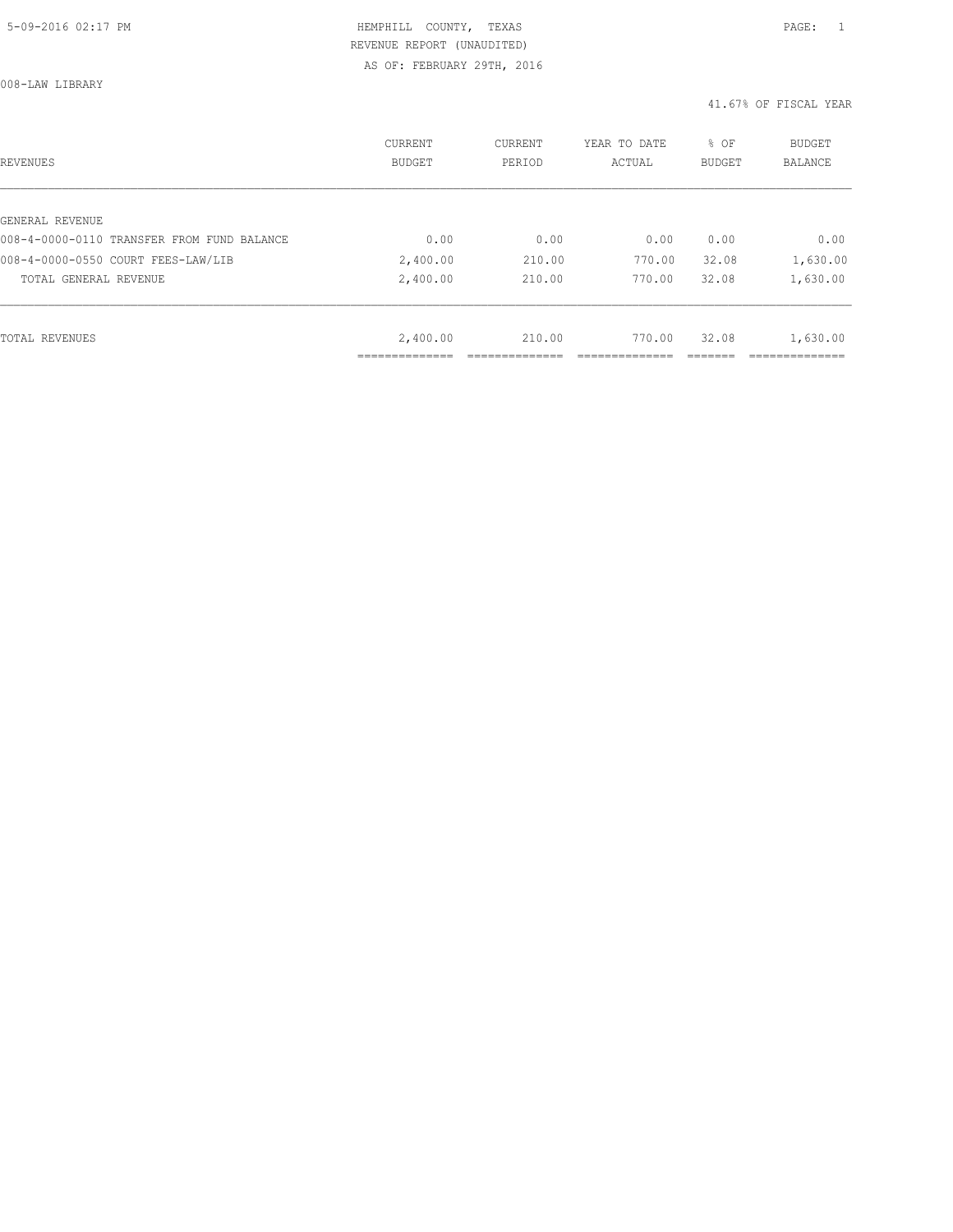008-LAW LIBRARY

| <b>REVENUES</b>                            | CURRENT<br><b>BUDGET</b> | CURRENT<br>PERIOD | YEAR TO DATE<br>ACTUAL | % OF<br><b>BUDGET</b> | BUDGET<br><b>BALANCE</b> |
|--------------------------------------------|--------------------------|-------------------|------------------------|-----------------------|--------------------------|
|                                            |                          |                   |                        |                       |                          |
| GENERAL REVENUE                            |                          |                   |                        |                       |                          |
| 008-4-0000-0110 TRANSFER FROM FUND BALANCE | 0.00                     | 0.00              | 0.00                   | 0.00                  | 0.00                     |
| 008-4-0000-0550 COURT FEES-LAW/LIB         | 2,400.00                 | 210.00            | 770.00                 | 32.08                 | 1,630.00                 |
| TOTAL GENERAL REVENUE                      | 2,400.00                 | 210.00            | 770.00                 | 32.08                 | 1,630.00                 |
|                                            |                          |                   |                        |                       |                          |
| TOTAL REVENUES                             | 2,400.00                 | 210.00            | 770.00                 | 32.08                 | 1,630.00                 |
|                                            | ___________              |                   |                        |                       | ___________              |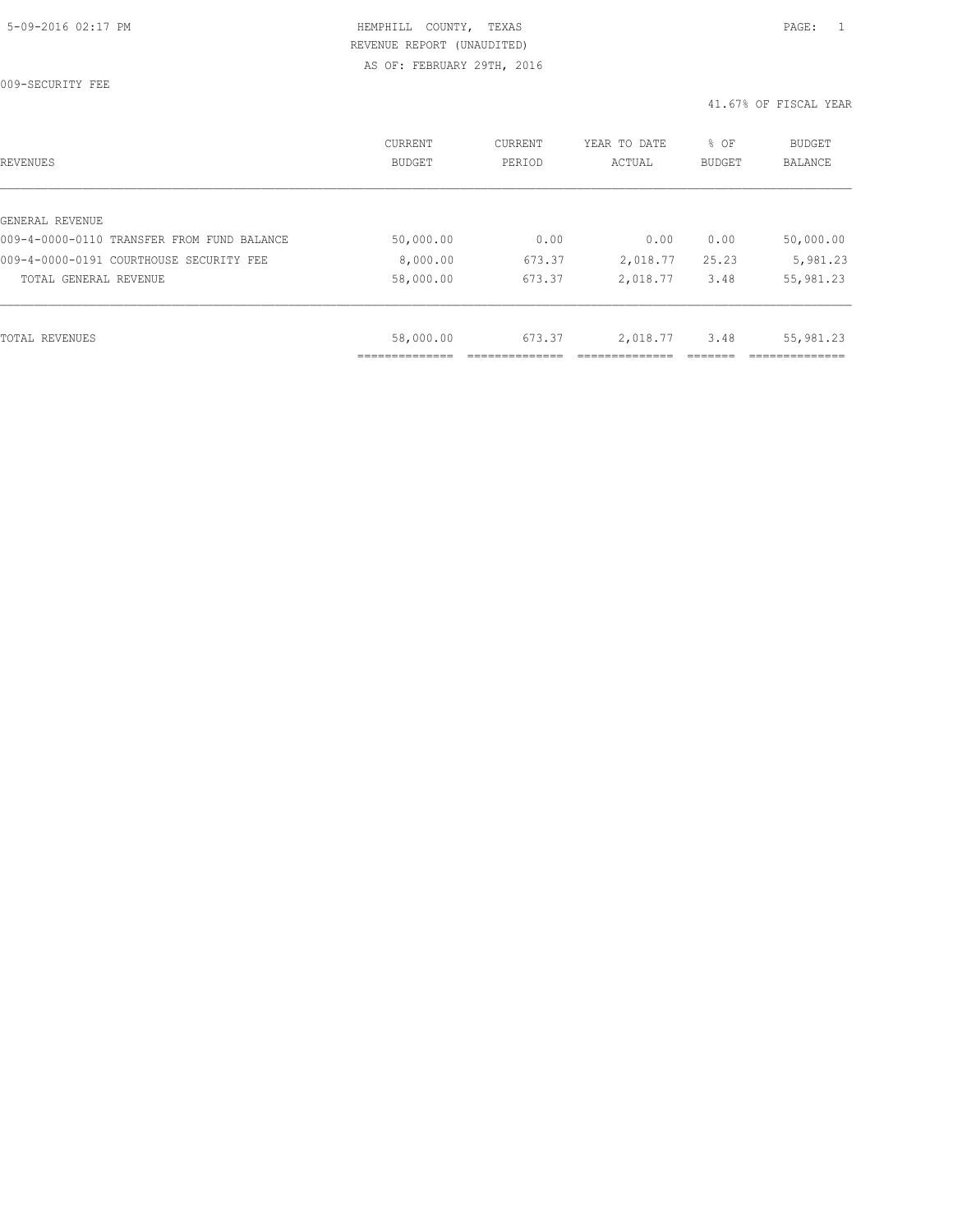009-SECURITY FEE

| REVENUES                                   | CURRENT<br><b>BUDGET</b> | CURRENT<br>PERIOD | YEAR TO DATE<br>ACTUAL | % OF<br>BUDGET | BUDGET<br><b>BALANCE</b> |
|--------------------------------------------|--------------------------|-------------------|------------------------|----------------|--------------------------|
|                                            |                          |                   |                        |                |                          |
| GENERAL REVENUE                            |                          |                   |                        |                |                          |
| 009-4-0000-0110 TRANSFER FROM FUND BALANCE | 50,000.00                | 0.00              | 0.00                   | 0.00           | 50,000.00                |
| 009-4-0000-0191 COURTHOUSE SECURITY FEE    | 8,000.00                 | 673.37            | 2,018.77               | 25.23          | 5,981.23                 |
| TOTAL GENERAL REVENUE                      | 58,000.00                | 673.37            | 2,018.77               | 3.48           | 55,981.23                |
|                                            |                          |                   |                        |                |                          |
| TOTAL REVENUES                             | 58,000.00                | 673.37            | 2,018.77               | 3.48           | 55,981.23                |
|                                            |                          |                   |                        |                |                          |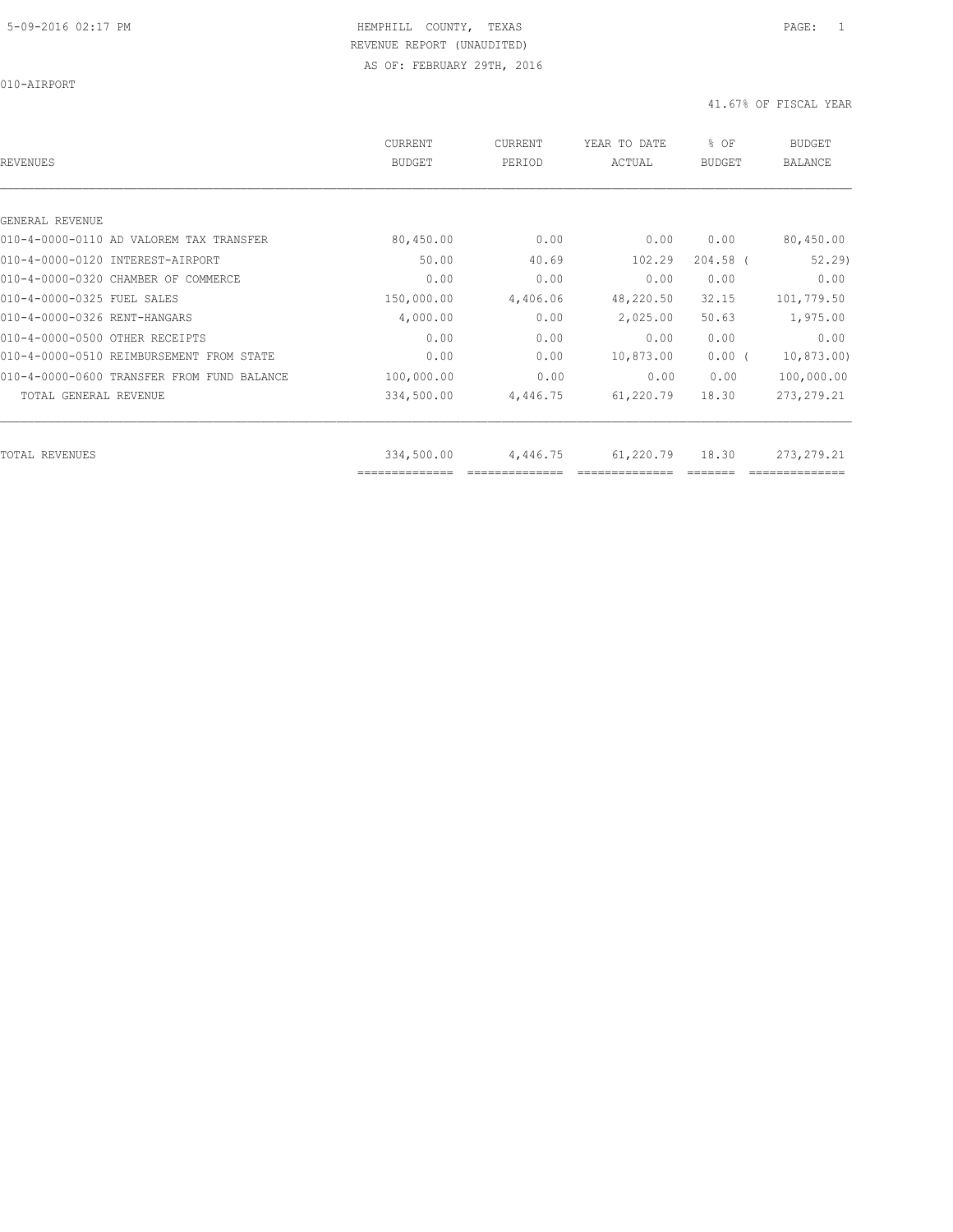010-AIRPORT

| REVENUES                                   | CURRENT<br><b>BUDGET</b>     | <b>CURRENT</b><br>PERIOD | YEAR TO DATE<br>ACTUAL | % OF<br><b>BUDGET</b> | <b>BUDGET</b><br><b>BALANCE</b> |
|--------------------------------------------|------------------------------|--------------------------|------------------------|-----------------------|---------------------------------|
|                                            |                              |                          |                        |                       |                                 |
| GENERAL REVENUE                            |                              |                          |                        |                       |                                 |
| 010-4-0000-0110 AD VALOREM TAX TRANSFER    | 80,450.00                    | 0.00                     | 0.00                   | 0.00                  | 80,450.00                       |
| 010-4-0000-0120 INTEREST-AIRPORT           | 50.00                        | 40.69                    | 102.29                 | $204.58$ (            | 52, 29                          |
| 010-4-0000-0320 CHAMBER OF COMMERCE        | 0.00                         | 0.00                     | 0.00                   | 0.00                  | 0.00                            |
| 010-4-0000-0325 FUEL SALES                 | 150,000.00                   | 4,406.06                 | 48,220.50              | 32.15                 | 101,779.50                      |
| 010-4-0000-0326 RENT-HANGARS               | 4,000.00                     | 0.00                     | 2,025.00               | 50.63                 | 1,975.00                        |
| 010-4-0000-0500 OTHER RECEIPTS             | 0.00                         | 0.00                     | 0.00                   | 0.00                  | 0.00                            |
| 010-4-0000-0510 REIMBURSEMENT FROM STATE   | 0.00                         | 0.00                     | 10,873.00              | $0.00$ (              | 10,873.00                       |
| 010-4-0000-0600 TRANSFER FROM FUND BALANCE | 100,000.00                   | 0.00                     | 0.00                   | 0.00                  | 100,000.00                      |
| TOTAL GENERAL REVENUE                      | 334,500.00                   | 4,446.75                 | 61,220.79              | 18.30                 | 273, 279. 21                    |
|                                            |                              |                          |                        |                       |                                 |
| TOTAL REVENUES                             | 334,500.00<br>============== | 4,446.75                 | 61,220.79              | 18.30                 | 273, 279. 21                    |
|                                            |                              |                          |                        |                       |                                 |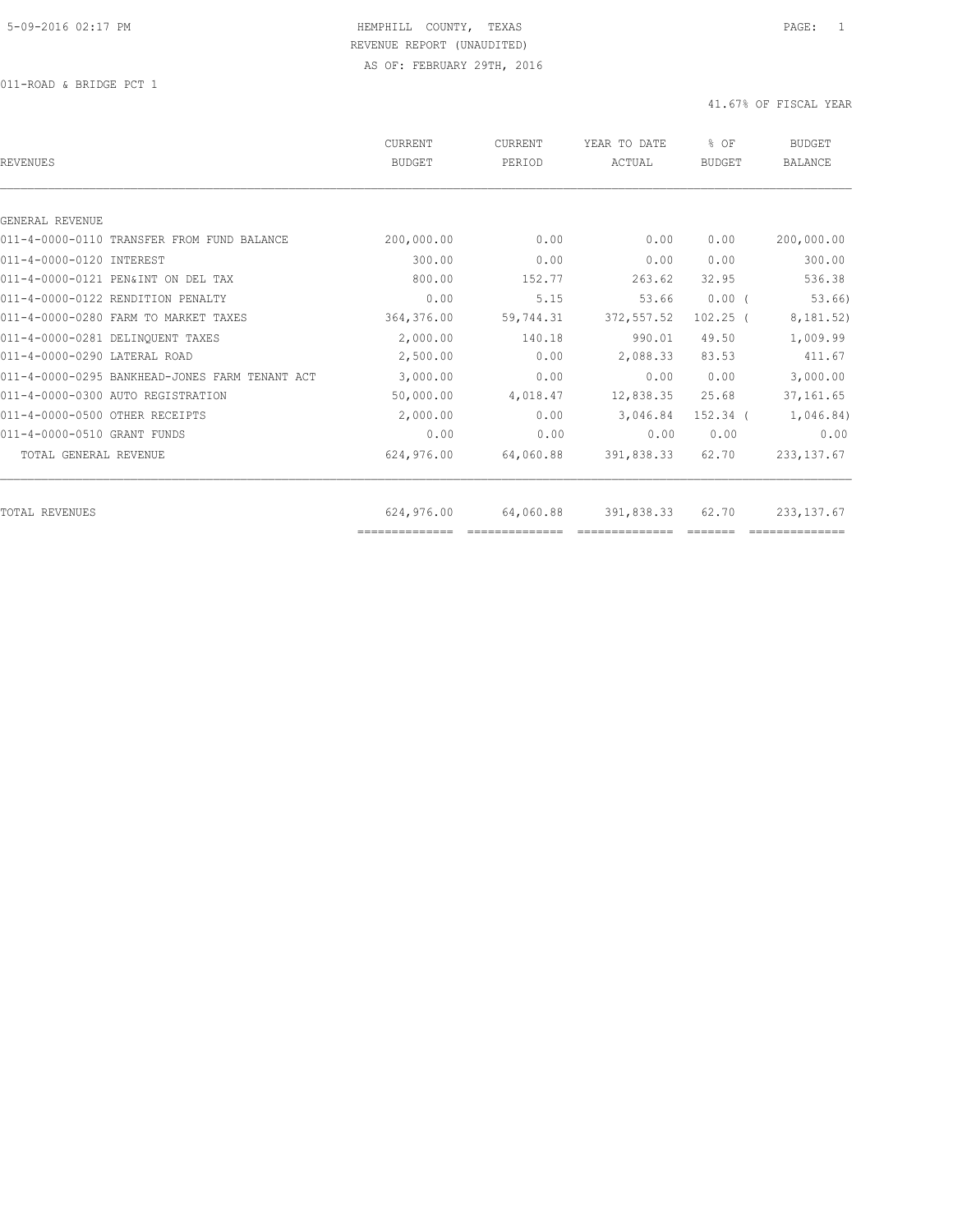011-ROAD & BRIDGE PCT 1

| <b>REVENUES</b>                                | <b>CURRENT</b><br><b>BUDGET</b> | CURRENT<br>PERIOD | YEAR TO DATE<br>ACTUAL | % OF<br><b>BUDGET</b> | <b>BUDGET</b><br><b>BALANCE</b> |
|------------------------------------------------|---------------------------------|-------------------|------------------------|-----------------------|---------------------------------|
|                                                |                                 |                   |                        |                       |                                 |
| GENERAL REVENUE                                |                                 |                   |                        |                       |                                 |
| 011-4-0000-0110 TRANSFER FROM FUND BALANCE     | 200,000.00                      | 0.00              | 0.00                   | 0.00                  | 200,000.00                      |
| 011-4-0000-0120 INTEREST                       | 300.00                          | 0.00              | 0.00                   | 0.00                  | 300.00                          |
| 011-4-0000-0121 PEN&INT ON DEL TAX             | 800.00                          | 152.77            | 263.62                 | 32.95                 | 536.38                          |
| 011-4-0000-0122 RENDITION PENALTY              | 0.00                            | 5.15              | 53.66                  | $0.00$ (              | 53.66)                          |
| 011-4-0000-0280 FARM TO MARKET TAXES           | 364,376.00                      | 59,744.31         | 372, 557.52            | $102.25$ (            | 8,181.52)                       |
| 011-4-0000-0281 DELINOUENT TAXES               | 2,000.00                        | 140.18            | 990.01                 | 49.50                 | 1,009.99                        |
| 011-4-0000-0290 LATERAL ROAD                   | 2,500.00                        | 0.00              | 2,088.33               | 83.53                 | 411.67                          |
| 011-4-0000-0295 BANKHEAD-JONES FARM TENANT ACT | 3,000.00                        | 0.00              | 0.00                   | 0.00                  | 3,000.00                        |
| 011-4-0000-0300 AUTO REGISTRATION              | 50,000.00                       | 4,018.47          | 12,838.35              | 25.68                 | 37, 161.65                      |
| 011-4-0000-0500 OTHER RECEIPTS                 | 2,000.00                        | 0.00              | 3,046.84               | $152.34$ $($          | 1,046.84)                       |
| 011-4-0000-0510 GRANT FUNDS                    | 0.00                            | 0.00              | 0.00                   | 0.00                  | 0.00                            |
| TOTAL GENERAL REVENUE                          | 624,976.00                      | 64,060.88         | 391,838.33             | 62.70                 | 233, 137.67                     |
|                                                | 624,976.00                      | 64,060.88         |                        | 62.70                 | 233, 137.67                     |
| TOTAL REVENUES                                 | ==============                  |                   | 391,838.33             |                       |                                 |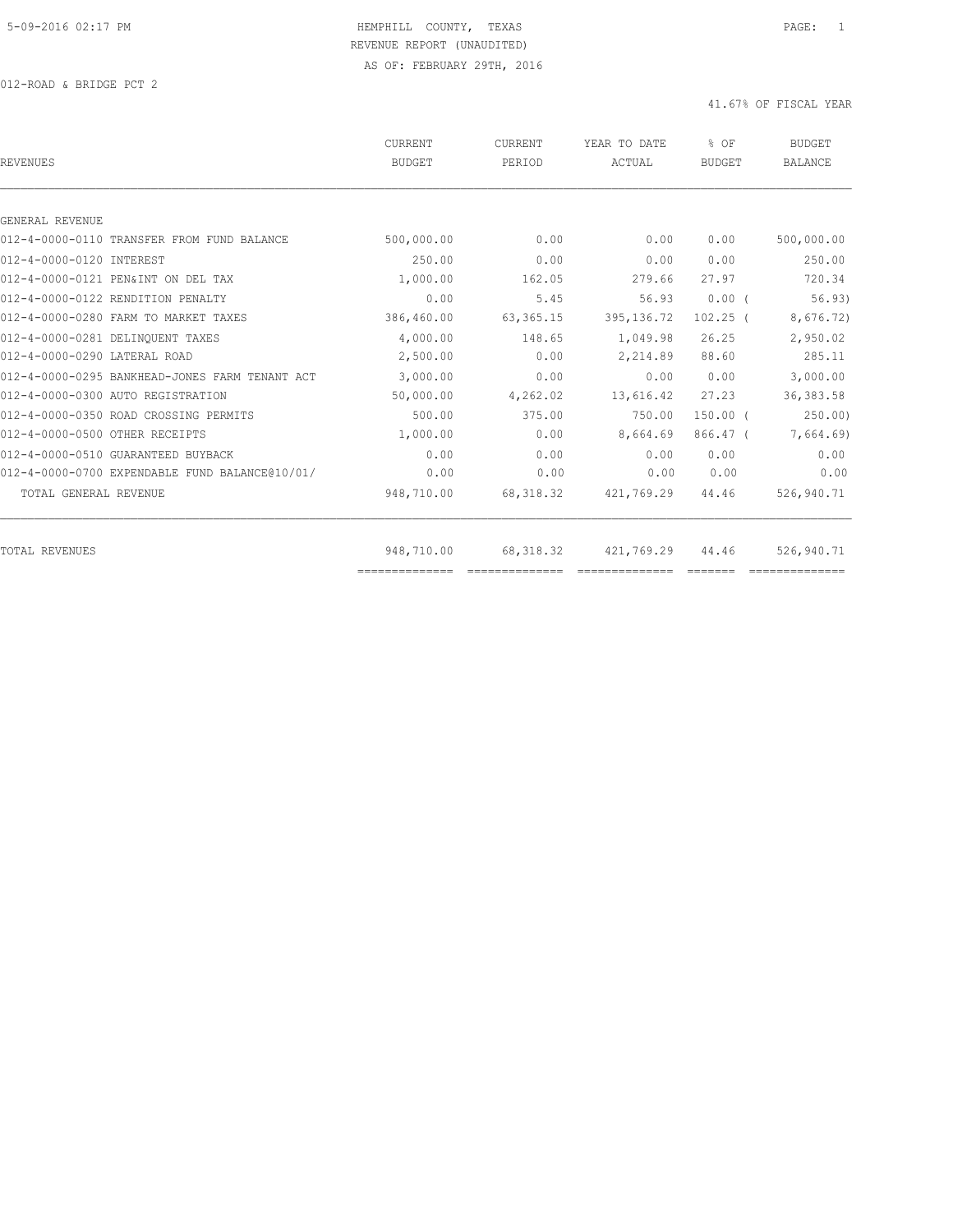012-ROAD & BRIDGE PCT 2

| <b>REVENUES</b>                                | CURRENT<br><b>BUDGET</b>     | <b>CURRENT</b><br>PERIOD                                                                                                                                                                                                                                                                                                                                                                                                                                                                                  | YEAR TO DATE<br>ACTUAL       | % OF<br><b>BUDGET</b> | <b>BUDGET</b><br><b>BALANCE</b> |
|------------------------------------------------|------------------------------|-----------------------------------------------------------------------------------------------------------------------------------------------------------------------------------------------------------------------------------------------------------------------------------------------------------------------------------------------------------------------------------------------------------------------------------------------------------------------------------------------------------|------------------------------|-----------------------|---------------------------------|
|                                                |                              |                                                                                                                                                                                                                                                                                                                                                                                                                                                                                                           |                              |                       |                                 |
| GENERAL REVENUE                                |                              |                                                                                                                                                                                                                                                                                                                                                                                                                                                                                                           |                              |                       |                                 |
| 012-4-0000-0110 TRANSFER FROM FUND BALANCE     | 500,000.00                   | 0.00                                                                                                                                                                                                                                                                                                                                                                                                                                                                                                      | 0.00                         | 0.00                  | 500,000.00                      |
| 012-4-0000-0120 INTEREST                       | 250.00                       | 0.00                                                                                                                                                                                                                                                                                                                                                                                                                                                                                                      | 0.00                         | 0.00                  | 250.00                          |
| 012-4-0000-0121 PEN&INT ON DEL TAX             | 1,000.00                     | 162.05                                                                                                                                                                                                                                                                                                                                                                                                                                                                                                    | 279.66                       | 27.97                 | 720.34                          |
| 012-4-0000-0122 RENDITION PENALTY              | 0.00                         | 5.45                                                                                                                                                                                                                                                                                                                                                                                                                                                                                                      | 56.93                        | $0.00$ (              | 56.93)                          |
| 012-4-0000-0280 FARM TO MARKET TAXES           | 386,460.00                   | 63, 365. 15                                                                                                                                                                                                                                                                                                                                                                                                                                                                                               | 395, 136.72                  | $102.25$ (            | 8,676.72)                       |
| 012-4-0000-0281 DELINQUENT TAXES               | 4,000.00                     | 148.65                                                                                                                                                                                                                                                                                                                                                                                                                                                                                                    | 1,049.98                     | 26.25                 | 2,950.02                        |
| 012-4-0000-0290 LATERAL ROAD                   | 2,500.00                     | 0.00                                                                                                                                                                                                                                                                                                                                                                                                                                                                                                      | 2,214.89                     | 88.60                 | 285.11                          |
| 012-4-0000-0295 BANKHEAD-JONES FARM TENANT ACT | 3,000.00                     | 0.00                                                                                                                                                                                                                                                                                                                                                                                                                                                                                                      | 0.00                         | 0.00                  | 3,000.00                        |
| 012-4-0000-0300 AUTO REGISTRATION              | 50,000.00                    | 4,262.02                                                                                                                                                                                                                                                                                                                                                                                                                                                                                                  | 13,616.42                    | 27.23                 | 36, 383.58                      |
| 012-4-0000-0350 ROAD CROSSING PERMITS          | 500.00                       | 375.00                                                                                                                                                                                                                                                                                                                                                                                                                                                                                                    | 750.00                       | $150.00$ $($          | 250.00                          |
| 012-4-0000-0500 OTHER RECEIPTS                 | 1,000.00                     | 0.00                                                                                                                                                                                                                                                                                                                                                                                                                                                                                                      | 8,664.69                     | $866.47$ (            | 7,664.69)                       |
| 012-4-0000-0510 GUARANTEED BUYBACK             | 0.00                         | 0.00                                                                                                                                                                                                                                                                                                                                                                                                                                                                                                      | 0.00                         | 0.00                  | 0.00                            |
| 012-4-0000-0700 EXPENDABLE FUND BALANCE@10/01/ | 0.00                         | 0.00                                                                                                                                                                                                                                                                                                                                                                                                                                                                                                      | 0.00                         | 0.00                  | 0.00                            |
| TOTAL GENERAL REVENUE                          | 948,710.00                   | 68, 318.32                                                                                                                                                                                                                                                                                                                                                                                                                                                                                                | 421,769.29                   | 44.46                 | 526,940.71                      |
|                                                |                              |                                                                                                                                                                                                                                                                                                                                                                                                                                                                                                           |                              |                       | 526,940.71                      |
| TOTAL REVENUES                                 | 948,710.00<br>============== | 68,318.32<br>$\begin{array}{c} \multicolumn{2}{c} {\textbf{1}} & \multicolumn{2}{c} {\textbf{2}} & \multicolumn{2}{c} {\textbf{3}} & \multicolumn{2}{c} {\textbf{4}} \\ \multicolumn{2}{c} {\textbf{2}} & \multicolumn{2}{c} {\textbf{3}} & \multicolumn{2}{c} {\textbf{4}} & \multicolumn{2}{c} {\textbf{5}} & \multicolumn{2}{c} {\textbf{6}} \\ \multicolumn{2}{c} {\textbf{5}} & \multicolumn{2}{c} {\textbf{6}} & \multicolumn{2}{c} {\textbf{7}} & \multicolumn{2}{c} {\textbf{8}} & \multicolumn{$ | 421,769.29<br>============== | 44.46                 |                                 |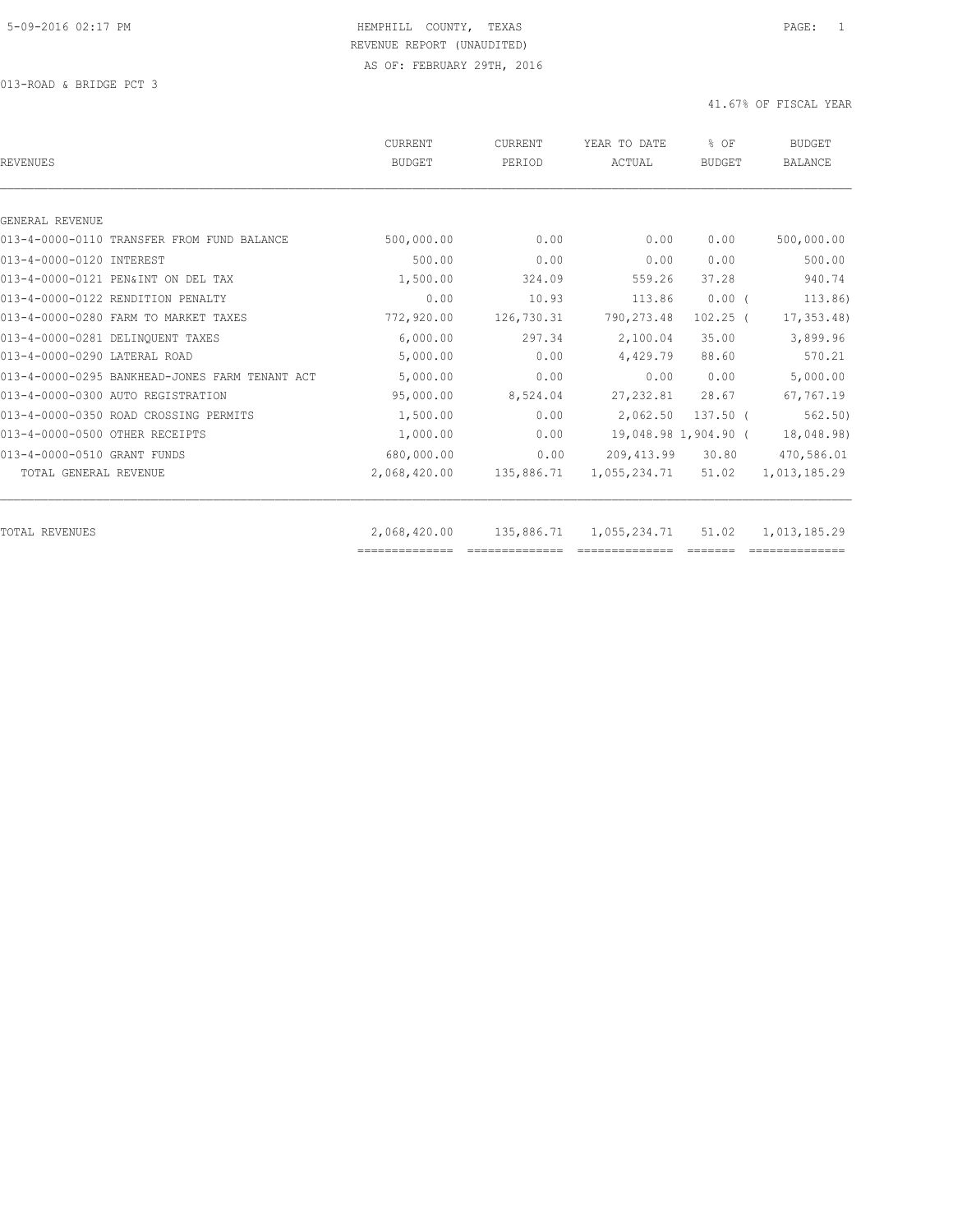013-ROAD & BRIDGE PCT 3

| <b>REVENUES</b>                                | <b>CURRENT</b><br><b>BUDGET</b> | CURRENT<br>PERIOD | YEAR TO DATE<br>ACTUAL | % OF<br><b>BUDGET</b> | <b>BUDGET</b><br><b>BALANCE</b> |
|------------------------------------------------|---------------------------------|-------------------|------------------------|-----------------------|---------------------------------|
|                                                |                                 |                   |                        |                       |                                 |
| GENERAL REVENUE                                |                                 |                   |                        |                       |                                 |
| 013-4-0000-0110 TRANSFER FROM FUND BALANCE     | 500,000.00                      | 0.00              | 0.00                   | 0.00                  | 500,000.00                      |
| 013-4-0000-0120 INTEREST                       | 500.00                          | 0.00              | 0.00                   | 0.00                  | 500.00                          |
| 013-4-0000-0121 PEN&INT ON DEL TAX             | 1,500.00                        | 324.09            | 559.26                 | 37.28                 | 940.74                          |
| 013-4-0000-0122 RENDITION PENALTY              | 0.00                            | 10.93             | 113.86                 | $0.00$ (              | 113.86)                         |
| 013-4-0000-0280 FARM TO MARKET TAXES           | 772,920.00                      | 126,730.31        | 790, 273.48            | $102.25$ (            | 17, 353.48                      |
| 013-4-0000-0281 DELINQUENT TAXES               | 6,000.00                        | 297.34            | 2,100.04               | 35.00                 | 3,899.96                        |
| 013-4-0000-0290 LATERAL ROAD                   | 5,000.00                        | 0.00              | 4,429.79               | 88.60                 | 570.21                          |
| 013-4-0000-0295 BANKHEAD-JONES FARM TENANT ACT | 5,000.00                        | 0.00              | 0.00                   | 0.00                  | 5,000.00                        |
| 013-4-0000-0300 AUTO REGISTRATION              | 95,000.00                       | 8,524.04          | 27, 232.81             | 28.67                 | 67,767.19                       |
| 013-4-0000-0350 ROAD CROSSING PERMITS          | 1,500.00                        | 0.00              | 2,062.50               | $137.50$ (            | 562, 50)                        |
| 013-4-0000-0500 OTHER RECEIPTS                 | 1,000.00                        | 0.00              |                        | 19,048.98 1,904.90 (  | 18,048.98)                      |
| 013-4-0000-0510 GRANT FUNDS                    | 680,000.00                      | 0.00              | 209, 413.99            | 30.80                 | 470,586.01                      |
| TOTAL GENERAL REVENUE                          | 2,068,420.00                    | 135,886.71        | 1,055,234.71           | 51.02                 | 1,013,185.29                    |
| <b>TOTAL REVENUES</b>                          | 2,068,420.00                    | 135,886.71        | 1,055,234.71           | 51.02                 | 1,013,185.29                    |
|                                                | ==============                  |                   |                        |                       |                                 |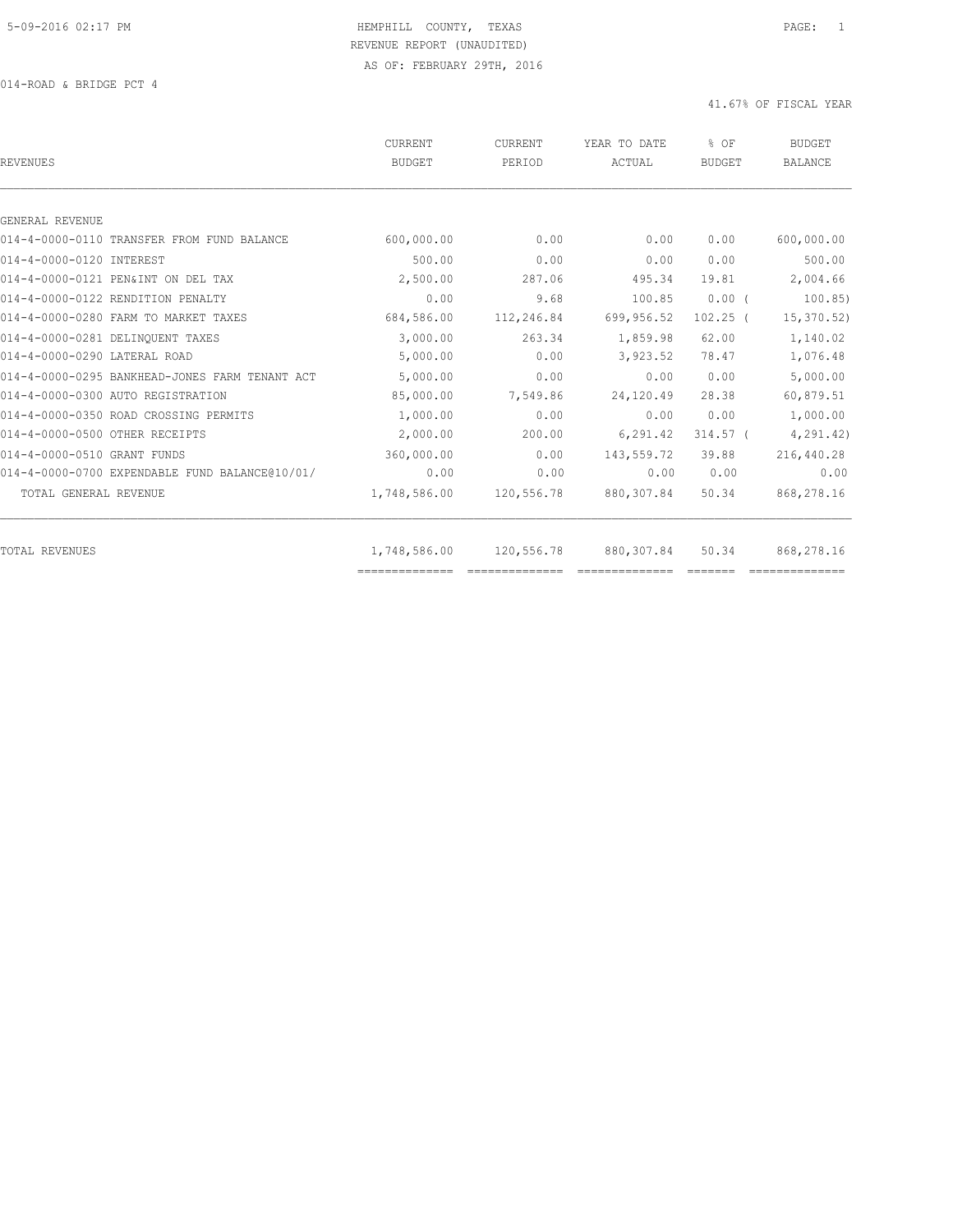014-ROAD & BRIDGE PCT 4

| <b>REVENUES</b>                                | CURRENT<br><b>BUDGET</b> | CURRENT<br>PERIOD | YEAR TO DATE<br>ACTUAL | % OF<br><b>BUDGET</b> | <b>BUDGET</b><br><b>BALANCE</b> |
|------------------------------------------------|--------------------------|-------------------|------------------------|-----------------------|---------------------------------|
| GENERAL REVENUE                                |                          |                   |                        |                       |                                 |
| 014-4-0000-0110 TRANSFER FROM FUND BALANCE     | 600,000.00               | 0.00              | 0.00                   | 0.00                  | 600,000.00                      |
|                                                | 500.00                   | 0.00              | 0.00                   | 0.00                  | 500.00                          |
| 014-4-0000-0120 INTEREST                       |                          |                   |                        |                       |                                 |
| 014-4-0000-0121 PEN&INT ON DEL TAX             | 2,500.00                 | 287.06            | 495.34                 | 19.81                 | 2,004.66                        |
| 014-4-0000-0122 RENDITION PENALTY              | 0.00                     | 9.68              | 100.85                 | $0.00$ (              | 100.85                          |
| 014-4-0000-0280 FARM TO MARKET TAXES           | 684,586.00               | 112,246.84        | 699,956.52             | $102.25$ (            | 15,370.52                       |
| 014-4-0000-0281 DELINQUENT TAXES               | 3,000.00                 | 263.34            | 1,859.98               | 62.00                 | 1,140.02                        |
| 014-4-0000-0290 LATERAL ROAD                   | 5,000.00                 | 0.00              | 3,923.52               | 78.47                 | 1,076.48                        |
| 014-4-0000-0295 BANKHEAD-JONES FARM TENANT ACT | 5,000.00                 | 0.00              | 0.00                   | 0.00                  | 5,000.00                        |
| 014-4-0000-0300 AUTO REGISTRATION              | 85,000.00                | 7,549.86          | 24,120.49              | 28.38                 | 60,879.51                       |
| 014-4-0000-0350 ROAD CROSSING PERMITS          | 1,000.00                 | 0.00              | 0.00                   | 0.00                  | 1,000.00                        |
| 014-4-0000-0500 OTHER RECEIPTS                 | 2,000.00                 | 200.00            | 6,291.42               | $314.57$ (            | 4,291.42)                       |
| 014-4-0000-0510 GRANT FUNDS                    | 360,000.00               | 0.00              | 143,559.72             | 39.88                 | 216,440.28                      |
| 014-4-0000-0700 EXPENDABLE FUND BALANCE@10/01/ | 0.00                     | 0.00              | 0.00                   | 0.00                  | 0.00                            |
| TOTAL GENERAL REVENUE                          | 1,748,586.00             | 120,556.78        | 880, 307.84            | 50.34                 | 868,278.16                      |
| <b>TOTAL REVENUES</b>                          | 1,748,586.00             | 120,556.78        | 880, 307.84            | 50.34                 | 868,278.16                      |
|                                                | ==============           |                   |                        |                       |                                 |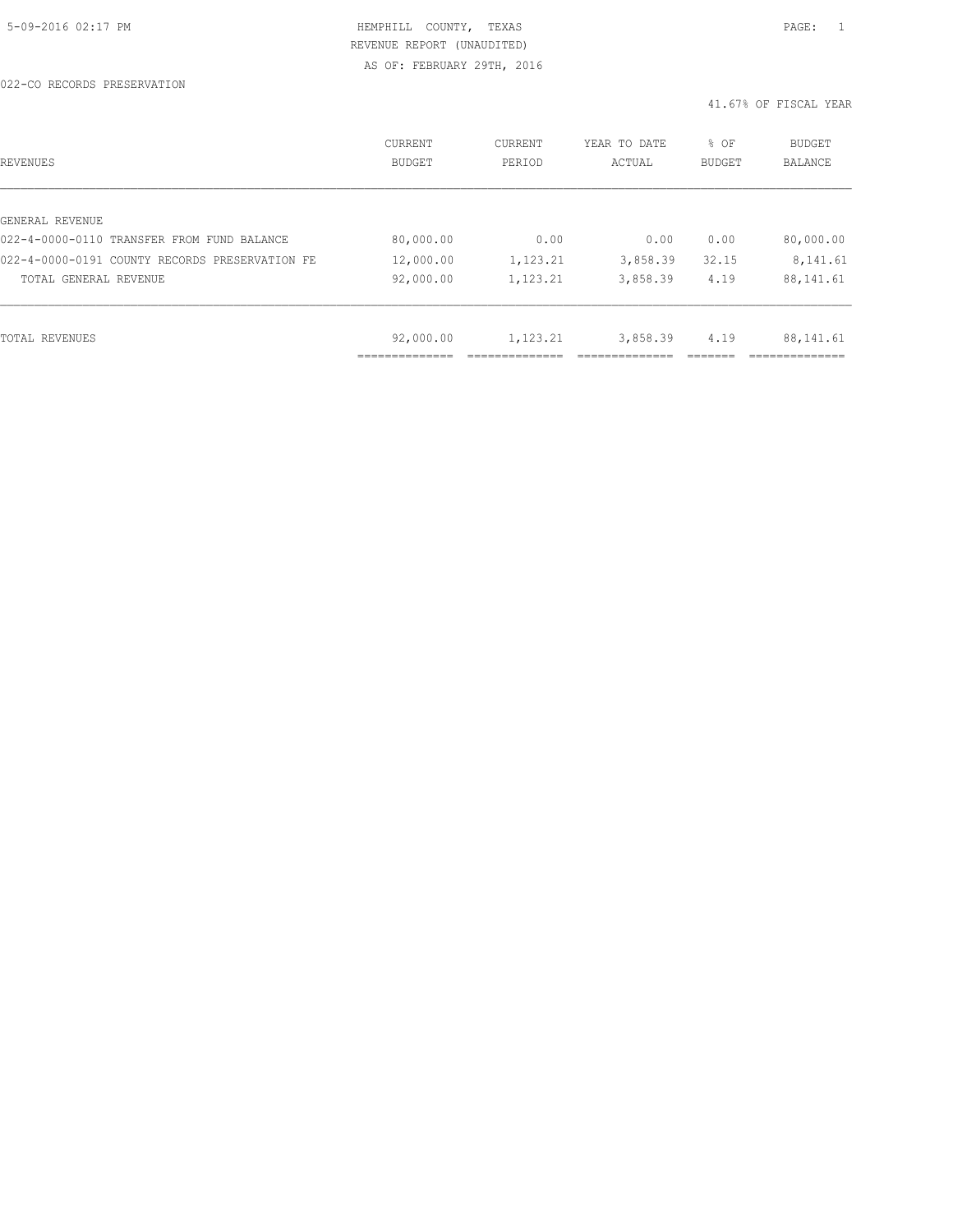022-CO RECORDS PRESERVATION

| REVENUES                                       | CURRENT<br><b>BUDGET</b> | CURRENT<br>PERIOD | YEAR TO DATE<br>ACTUAL | % OF<br>BUDGET | <b>BUDGET</b><br><b>BALANCE</b> |
|------------------------------------------------|--------------------------|-------------------|------------------------|----------------|---------------------------------|
|                                                |                          |                   |                        |                |                                 |
| GENERAL REVENUE                                |                          |                   |                        |                |                                 |
| 022-4-0000-0110 TRANSFER FROM FUND BALANCE     | 80,000.00                | 0.00              | 0.00                   | 0.00           | 80,000.00                       |
| 022-4-0000-0191 COUNTY RECORDS PRESERVATION FE | 12,000.00                | 1,123.21          | 3,858.39               | 32.15          | 8,141.61                        |
| TOTAL GENERAL REVENUE                          | 92,000.00                | 1,123.21          | 3,858.39               | 4.19           | 88, 141.61                      |
|                                                |                          |                   |                        |                |                                 |
| TOTAL REVENUES                                 | 92,000.00                | 1,123.21          | 3,858.39               | 4.19           | 88, 141.61                      |
|                                                | ------------             |                   |                        |                |                                 |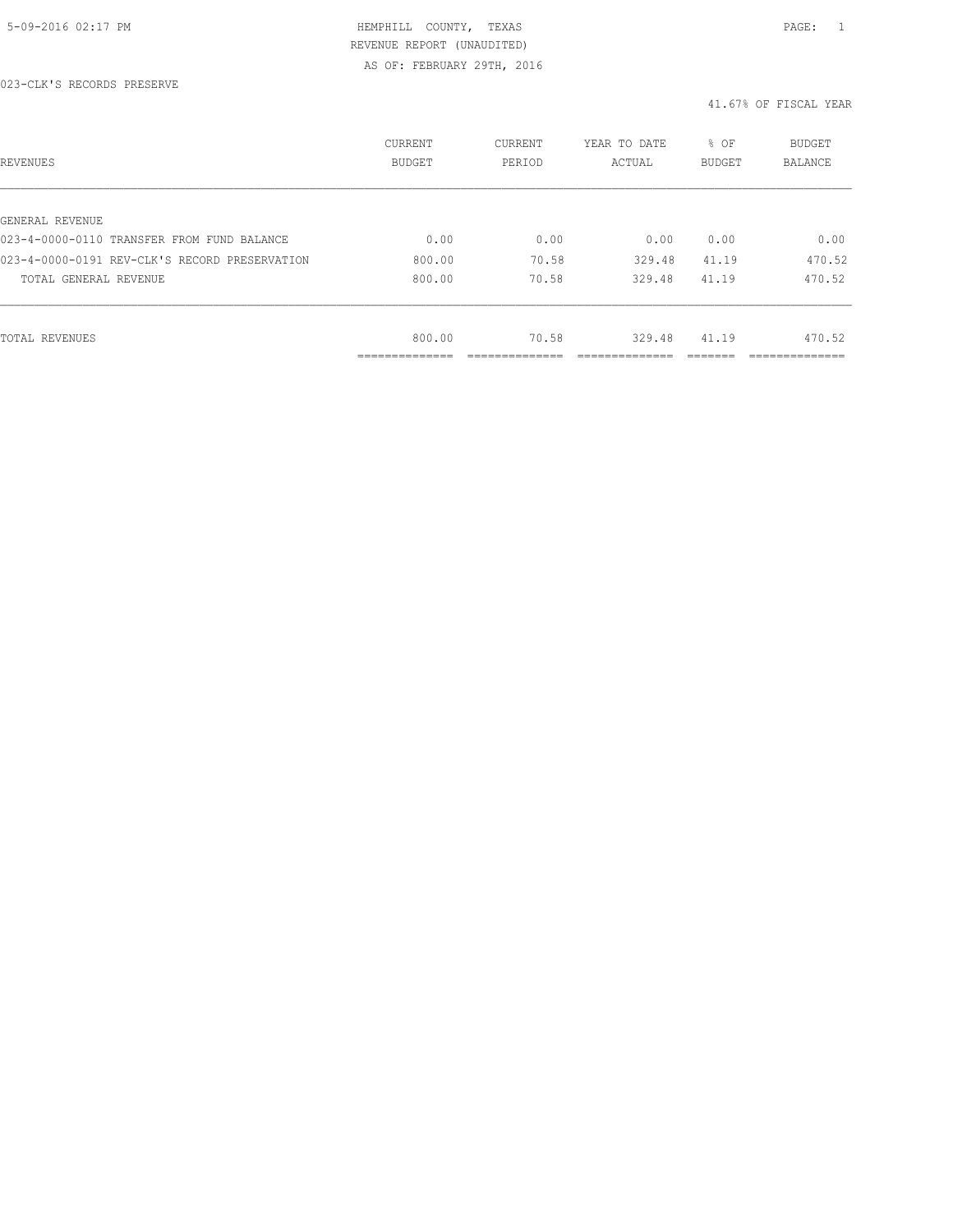| REVENUES                                      | CURRENT<br><b>BUDGET</b>    | CURRENT<br>PERIOD | YEAR TO DATE<br>ACTUAL | % OF<br>BUDGET | BUDGET<br><b>BALANCE</b> |
|-----------------------------------------------|-----------------------------|-------------------|------------------------|----------------|--------------------------|
|                                               |                             |                   |                        |                |                          |
| GENERAL REVENUE                               |                             |                   |                        |                |                          |
| 023-4-0000-0110 TRANSFER FROM FUND BALANCE    | 0.00                        | 0.00              | 0.00                   | 0.00           | 0.00                     |
| 023-4-0000-0191 REV-CLK'S RECORD PRESERVATION | 800.00                      | 70.58             | 329.48                 | 41.19          | 470.52                   |
| TOTAL GENERAL REVENUE                         | 800.00                      | 70.58             | 329.48                 | 41.19          | 470.52                   |
|                                               |                             |                   |                        |                |                          |
| TOTAL REVENUES                                | 800.00                      | 70.58             | 329.48                 | 41.19          | 470.52                   |
|                                               | -----------<br>------------ |                   |                        |                | __________               |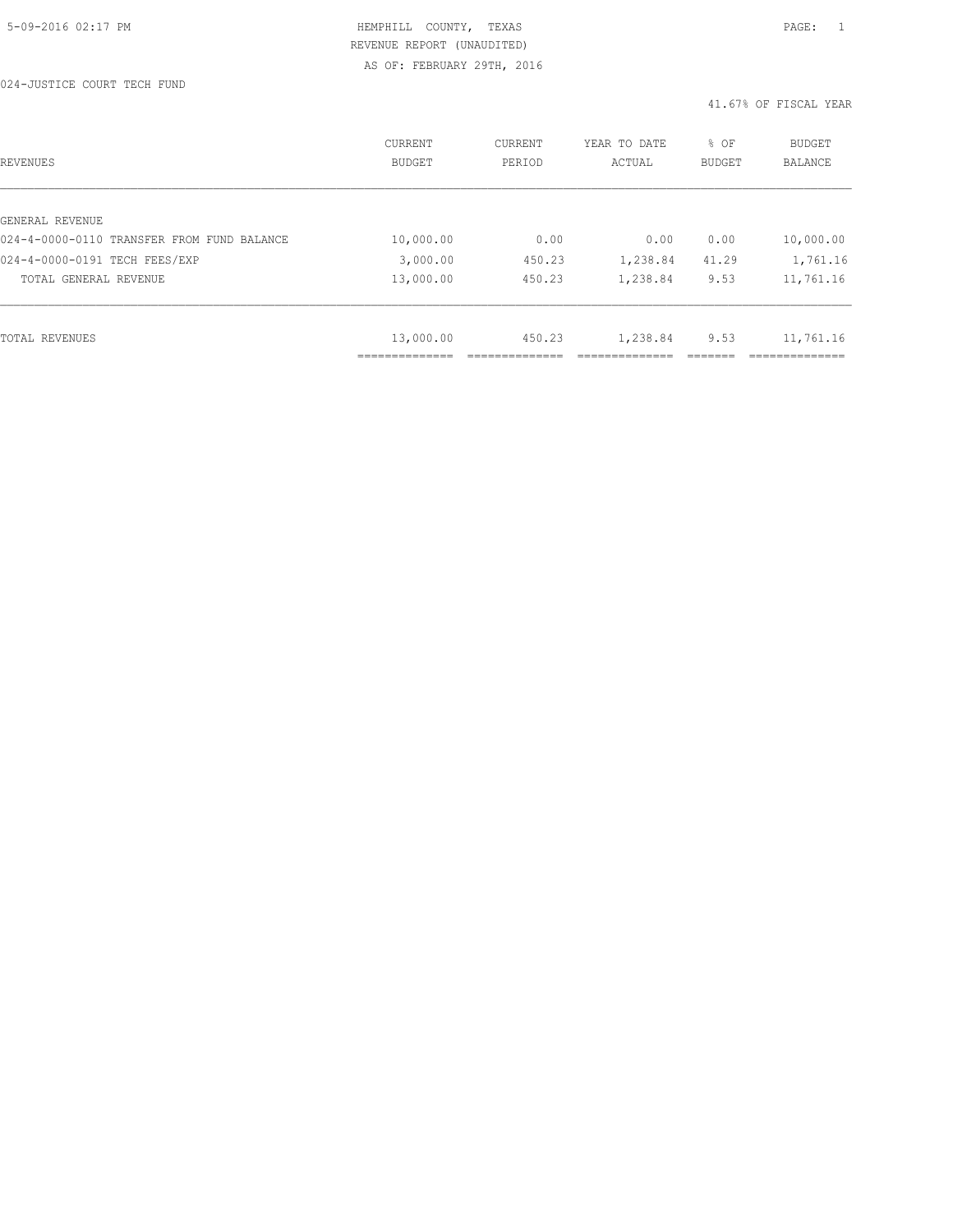024-JUSTICE COURT TECH FUND

| REVENUES                                   | CURRENT<br><b>BUDGET</b>   | CURRENT<br>PERIOD | YEAR TO DATE<br>ACTUAL | % OF<br>BUDGET | <b>BUDGET</b><br><b>BALANCE</b> |
|--------------------------------------------|----------------------------|-------------------|------------------------|----------------|---------------------------------|
|                                            |                            |                   |                        |                |                                 |
| GENERAL REVENUE                            |                            |                   |                        |                |                                 |
| 024-4-0000-0110 TRANSFER FROM FUND BALANCE | 10,000.00                  | 0.00              | 0.00                   | 0.00           | 10,000.00                       |
| 024-4-0000-0191 TECH FEES/EXP              | 3,000.00                   | 450.23            | 1,238.84               | 41.29          | 1,761.16                        |
| TOTAL GENERAL REVENUE                      | 13,000.00                  | 450.23            | 1,238.84               | 9.53           | 11,761.16                       |
|                                            |                            |                   |                        |                |                                 |
| TOTAL REVENUES                             | 13,000.00                  | 450.23            | 1,238.84               | 9.53           | 11,761.16                       |
|                                            | -----------<br>----------- |                   |                        |                |                                 |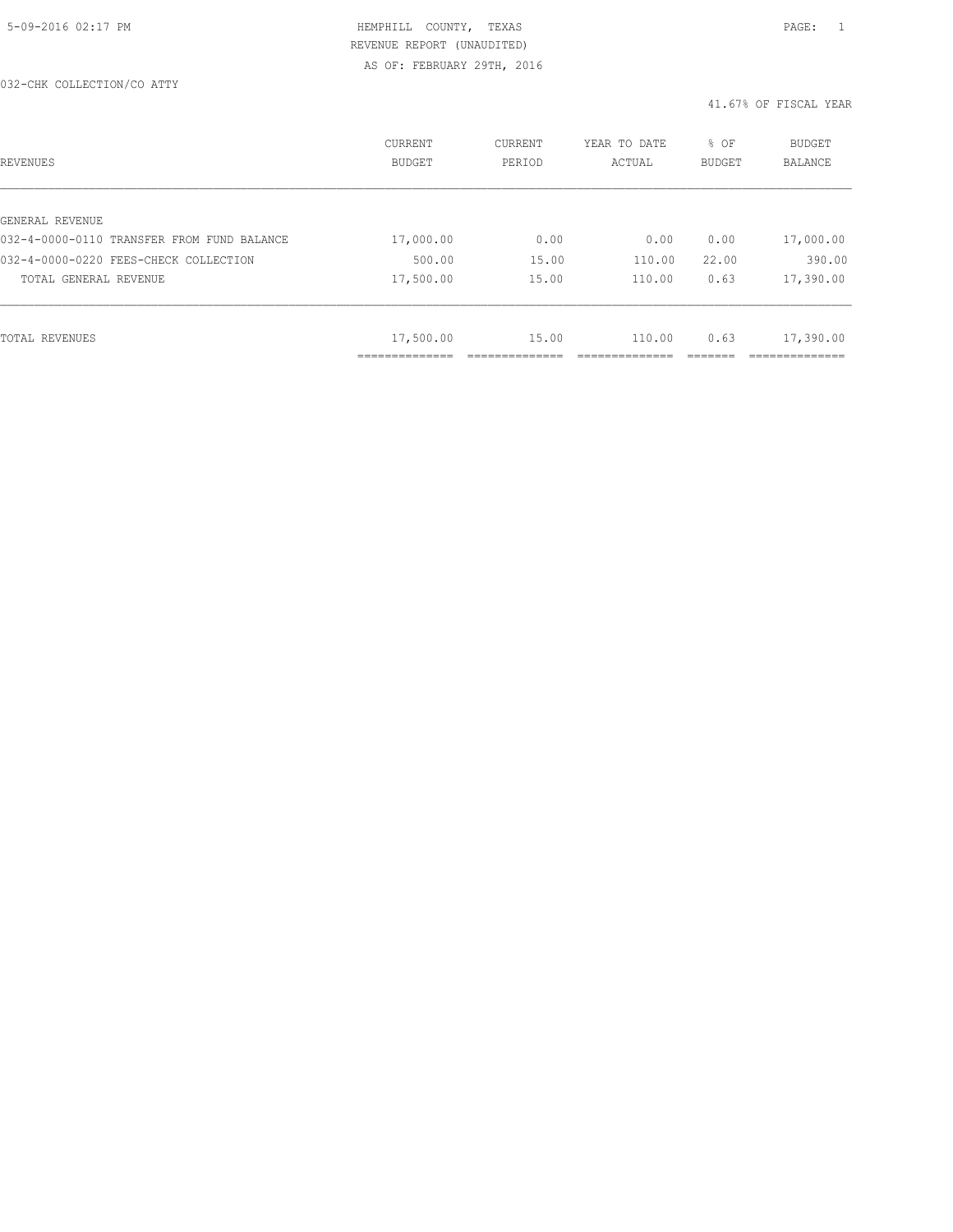#### 032-CHK COLLECTION/CO ATTY

| REVENUES                                   | <b>CURRENT</b><br><b>BUDGET</b> | CURRENT<br>PERIOD | YEAR TO DATE<br>ACTUAL | % OF<br><b>BUDGET</b> | BUDGET<br>BALANCE |
|--------------------------------------------|---------------------------------|-------------------|------------------------|-----------------------|-------------------|
|                                            |                                 |                   |                        |                       |                   |
| GENERAL REVENUE                            |                                 |                   |                        |                       |                   |
| 032-4-0000-0110 TRANSFER FROM FUND BALANCE | 17,000.00                       | 0.00              | 0.00                   | 0.00                  | 17,000.00         |
| 032-4-0000-0220 FEES-CHECK COLLECTION      | 500.00                          | 15.00             | 110.00                 | 22.00                 | 390.00            |
| TOTAL GENERAL REVENUE                      | 17,500.00                       | 15.00             | 110.00                 | 0.63                  | 17,390.00         |
|                                            |                                 |                   |                        |                       |                   |
| TOTAL REVENUES                             | 17,500.00                       | 15.00             | 110.00                 | 0.63                  | 17,390.00         |
|                                            | .                               |                   |                        |                       | __________        |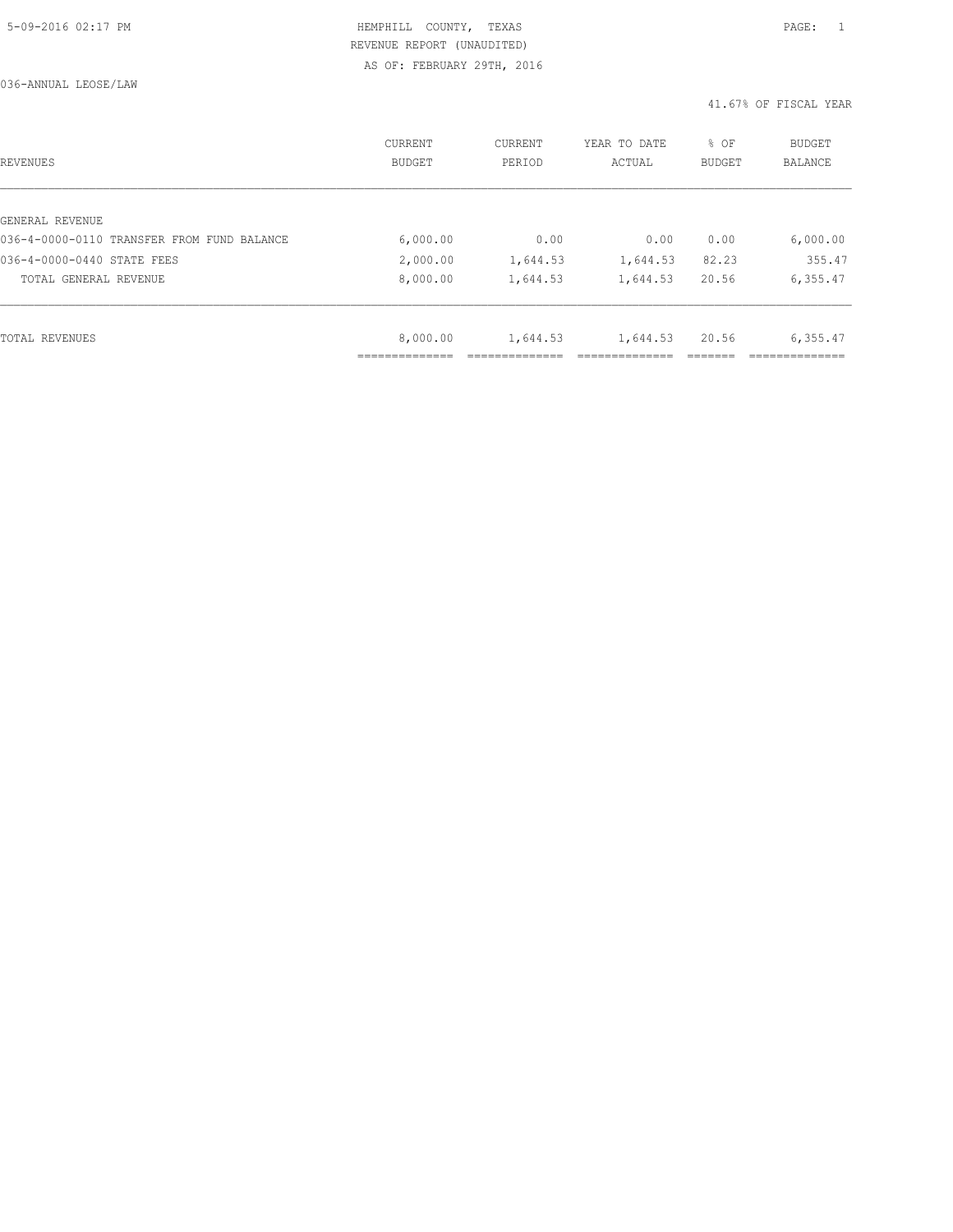036-ANNUAL LEOSE/LAW

| REVENUES                                   | CURRENT<br><b>BUDGET</b> | CURRENT<br>PERIOD | YEAR TO DATE<br>ACTUAL | % OF<br><b>BUDGET</b> | BUDGET<br><b>BALANCE</b> |
|--------------------------------------------|--------------------------|-------------------|------------------------|-----------------------|--------------------------|
|                                            |                          |                   |                        |                       |                          |
| GENERAL REVENUE                            |                          |                   |                        |                       |                          |
| 036-4-0000-0110 TRANSFER FROM FUND BALANCE | 6,000.00                 | 0.00              | 0.00                   | 0.00                  | 6,000.00                 |
| 036-4-0000-0440 STATE FEES                 | 2,000.00                 | 1,644.53          | 1,644.53               | 82.23                 | 355.47                   |
| TOTAL GENERAL REVENUE                      | 8,000.00                 | 1,644.53          | 1,644.53               | 20.56                 | 6,355.47                 |
|                                            |                          |                   |                        |                       |                          |
| TOTAL REVENUES                             | 8,000.00                 | 1,644.53          | 1,644.53               | 20.56                 | 6,355.47                 |
|                                            |                          |                   |                        |                       |                          |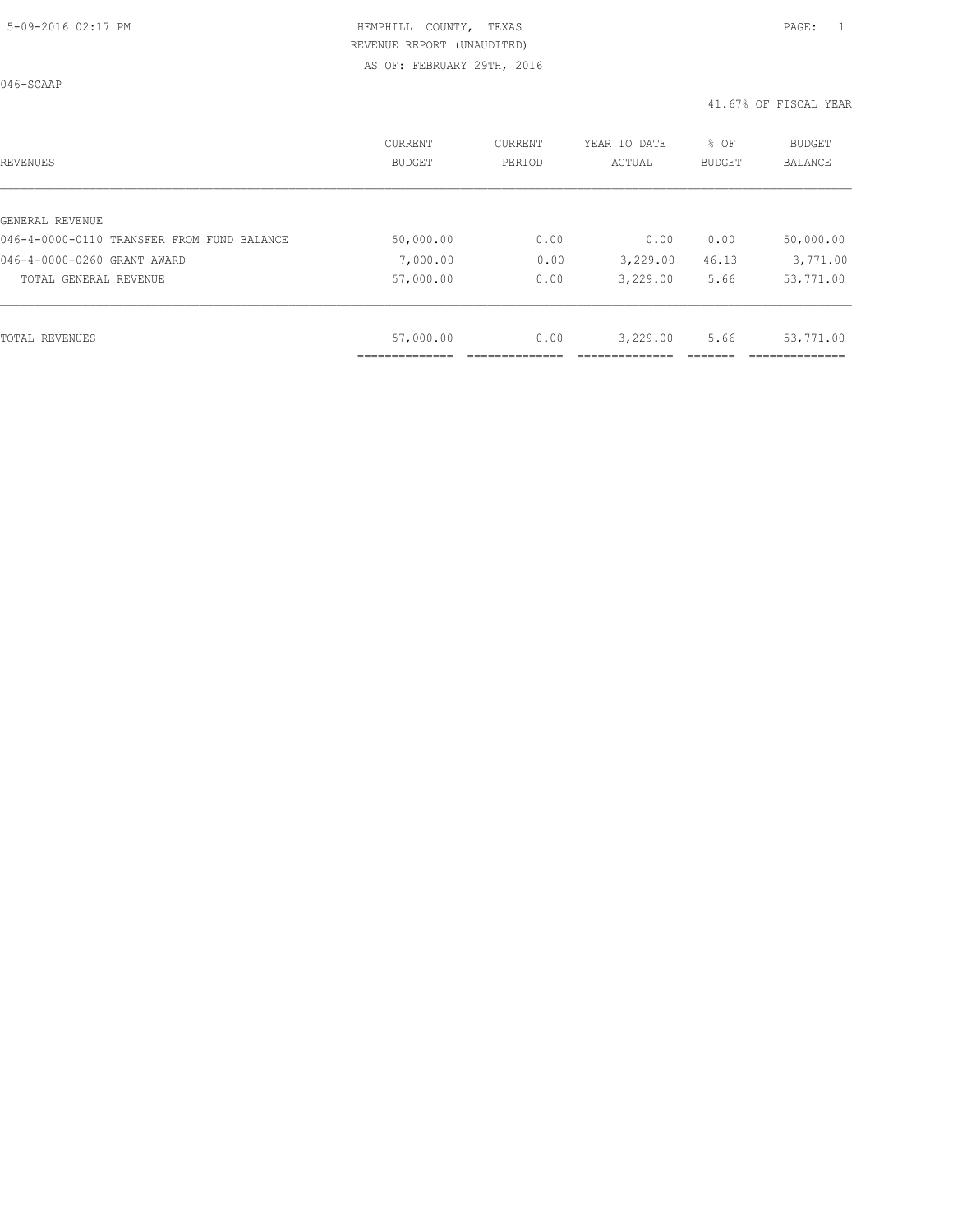046-SCAAP

| REVENUES                                   | <b>CURRENT</b><br><b>BUDGET</b> | CURRENT<br>PERIOD | YEAR TO DATE<br>ACTUAL | % OF<br><b>BUDGET</b> | <b>BUDGET</b><br>BALANCE |
|--------------------------------------------|---------------------------------|-------------------|------------------------|-----------------------|--------------------------|
|                                            |                                 |                   |                        |                       |                          |
| GENERAL REVENUE                            |                                 |                   |                        |                       |                          |
| 046-4-0000-0110 TRANSFER FROM FUND BALANCE | 50,000.00                       | 0.00              | 0.00                   | 0.00                  | 50,000.00                |
| 046-4-0000-0260 GRANT AWARD                | 7,000.00                        | 0.00              | 3,229.00               | 46.13                 | 3,771.00                 |
| TOTAL GENERAL REVENUE                      | 57,000.00                       | 0.00              | 3,229.00               | 5.66                  | 53,771.00                |
|                                            |                                 |                   |                        |                       |                          |
| TOTAL REVENUES                             | 57,000.00                       | 0.00              | 3,229.00               | 5.66                  | 53,771.00                |
|                                            |                                 |                   |                        |                       |                          |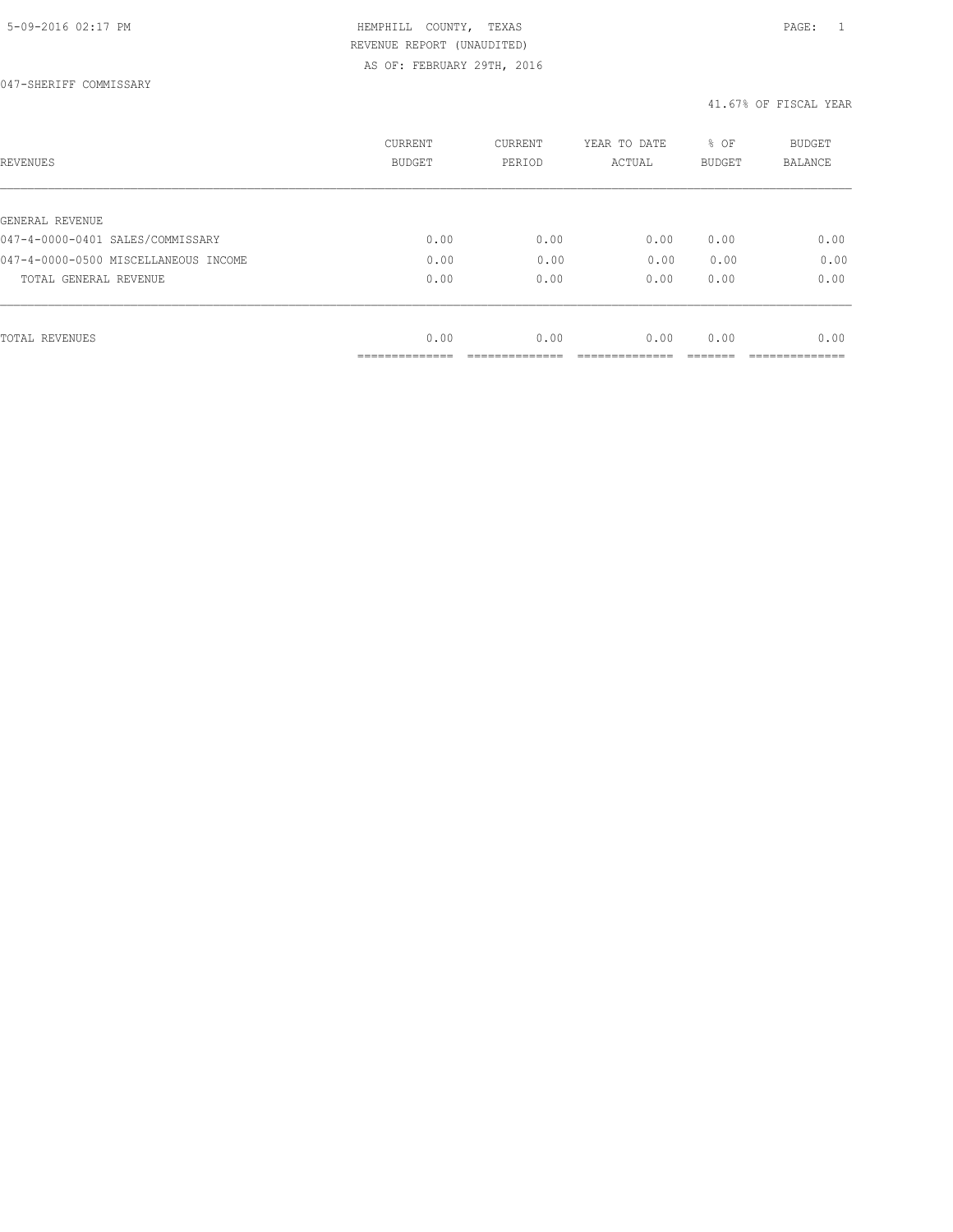| REVENUES                                            | <b>CURRENT</b><br><b>BUDGET</b> | CURRENT<br>PERIOD | YEAR TO DATE<br>ACTUAL | % OF<br>BUDGET | <b>BUDGET</b><br>BALANCE |
|-----------------------------------------------------|---------------------------------|-------------------|------------------------|----------------|--------------------------|
|                                                     |                                 |                   |                        |                |                          |
| GENERAL REVENUE<br>047-4-0000-0401 SALES/COMMISSARY | 0.00                            | 0.00              | 0.00                   | 0.00           | 0.00                     |
| 047-4-0000-0500 MISCELLANEOUS INCOME                | 0.00                            | 0.00              | 0.00                   | 0.00           | 0.00                     |
|                                                     |                                 |                   |                        |                |                          |
| TOTAL GENERAL REVENUE                               | 0.00                            | 0.00              | 0.00                   | 0.00           | 0.00                     |
|                                                     |                                 |                   |                        |                |                          |
| TOTAL REVENUES                                      | 0.00                            | 0.00              | 0.00                   | 0.00           | 0.00                     |
|                                                     | ____________                    |                   |                        |                |                          |